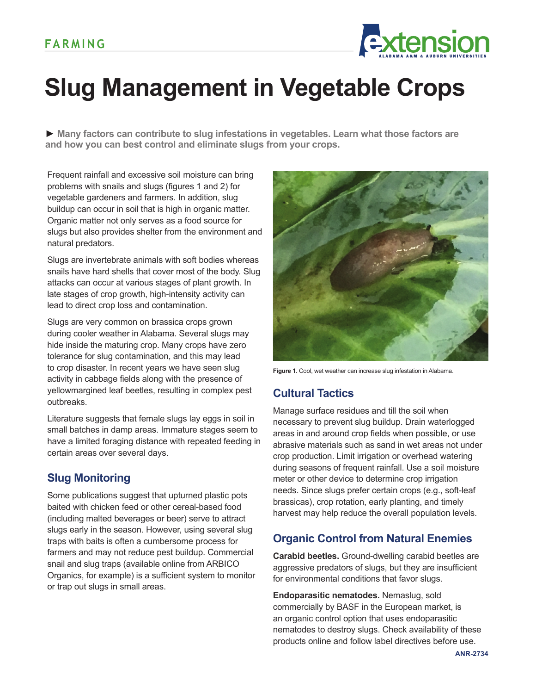

# **Slug Management in Vegetable Crops**

**► Many factors can contribute to slug infestations in vegetables. Learn what those factors are and how you can best control and eliminate slugs from your crops.**

Frequent rainfall and excessive soil moisture can bring problems with snails and slugs (figures 1 and 2) for vegetable gardeners and farmers. In addition, slug buildup can occur in soil that is high in organic matter. Organic matter not only serves as a food source for slugs but also provides shelter from the environment and natural predators.

Slugs are invertebrate animals with soft bodies whereas snails have hard shells that cover most of the body. Slug attacks can occur at various stages of plant growth. In late stages of crop growth, high-intensity activity can lead to direct crop loss and contamination.

Slugs are very common on brassica crops grown during cooler weather in Alabama. Several slugs may hide inside the maturing crop. Many crops have zero tolerance for slug contamination, and this may lead to crop disaster. In recent years we have seen slug activity in cabbage fields along with the presence of yellowmargined leaf beetles, resulting in complex pest outbreaks.

Literature suggests that female slugs lay eggs in soil in small batches in damp areas. Immature stages seem to have a limited foraging distance with repeated feeding in certain areas over several days.

## **Slug Monitoring**

Some publications suggest that upturned plastic pots baited with chicken feed or other cereal-based food (including malted beverages or beer) serve to attract slugs early in the season. However, using several slug traps with baits is often a cumbersome process for farmers and may not reduce pest buildup. Commercial snail and slug traps (available online from ARBICO Organics, for example) is a sufficient system to monitor or trap out slugs in small areas.



Figure 1. Cool, wet weather can increase slug infestation in Alabama.

### **Cultural Tactics**

Manage surface residues and till the soil when necessary to prevent slug buildup. Drain waterlogged areas in and around crop fields when possible, or use abrasive materials such as sand in wet areas not under crop production. Limit irrigation or overhead watering during seasons of frequent rainfall. Use a soil moisture meter or other device to determine crop irrigation needs. Since slugs prefer certain crops (e.g., soft-leaf brassicas), crop rotation, early planting, and timely harvest may help reduce the overall population levels.

### **Organic Control from Natural Enemies**

**Carabid beetles.** Ground-dwelling carabid beetles are aggressive predators of slugs, but they are insufficient for environmental conditions that favor slugs.

**Endoparasitic nematodes.** Nemaslug, sold commercially by BASF in the European market, is an organic control option that uses endoparasitic nematodes to destroy slugs. Check availability of these products online and follow label directives before use.